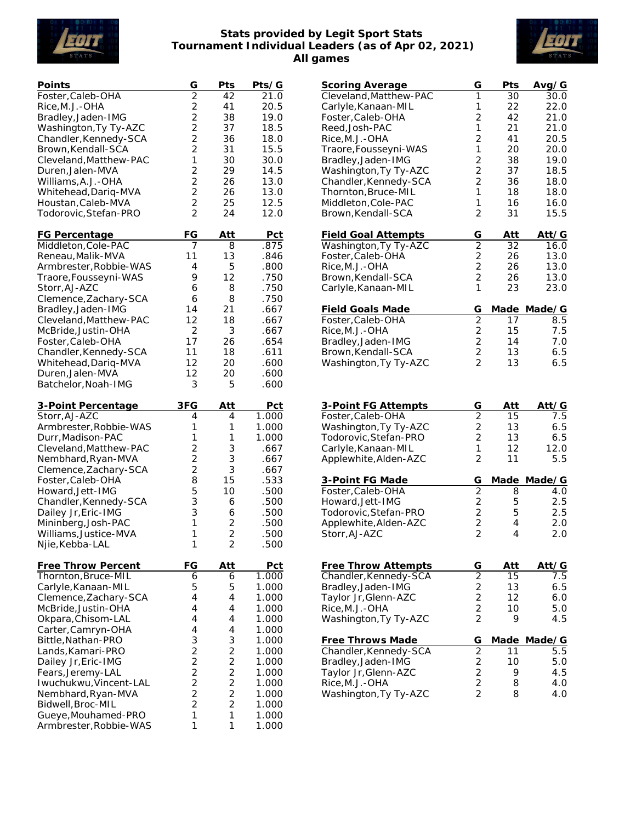

## **Stats provided by Legit Sport Stats Tournament Individual Leaders (as of Apr 02, 2021) All games**



| Points                 | G                                          | Pts            | Pts/G      |
|------------------------|--------------------------------------------|----------------|------------|
| Foster, Caleb-OHA      | $\overline{2}$                             | 42             | 21.0       |
| Rice, M.J.-OHA         |                                            | 41             | 20.5       |
| Bradley, Jaden-IMG     |                                            | 38             | 19.0       |
| Washington, Ty Ty-AZC  | $222$<br>$22$                              | 37             | 18.5       |
| Chandler, Kennedy-SCA  |                                            | 36             | 18.0       |
| Brown, Kendall-SCA     | $\overline{c}$                             | 31             | 15.5       |
| Cleveland, Matthew-PAC | 1                                          | 30             | 30.0       |
| Duren, Jalen-MVA       | $\overline{2}$                             | 29             | 14.5       |
| Williams, A.J. - OHA   | $\overline{c}$                             | 26             | 13.0       |
| Whitehead, Dariq-MVA   | $\overline{c}$                             | 26             | 13.0       |
| Houstan, Caleb-MVA     | $\frac{2}{2}$                              | 25             | 12.5       |
| Todorovic, Stefan-PRO  |                                            | 24             | 12.0       |
| <b>FG Percentage</b>   | FG                                         | Att            | <u>Pct</u> |
| Middleton, Cole-PAC    | 7                                          | 8              | .875       |
| Reneau, Malik-MVA      | 11                                         | 13             | .846       |
| Armbrester, Robbie-WAS | 4                                          | 5              | .800       |
| Traore, Fousseyni-WAS  | 9                                          | 12             | .750       |
| Storr, AJ-AZC          | 6                                          | 8              | .750       |
|                        | 6                                          | 8              | .750       |
| Clemence, Zachary-SCA  | 14                                         |                |            |
| Bradley, Jaden-IMG     | 12                                         | 21             | .667       |
| Cleveland, Matthew-PAC |                                            | 18             | .667       |
| McBride, Justin-OHA    | 2                                          | 3              | .667       |
| Foster, Caleb-OHA      | 17                                         | 26             | .654       |
| Chandler, Kennedy-SCA  | 11                                         | 18             | .611       |
| Whitehead, Dariq-MVA   | 12                                         | 20             | .600       |
| Duren, Jalen-MVA       | 12                                         | 20             | .600       |
| Batchelor, Noah-IMG    | 3                                          | 5              | .600       |
| 3-Point Percentage     | 3FG                                        | Att            | <u>Pct</u> |
| Storr, AJ-AZC          | 4                                          | 4              | 1.000      |
| Armbrester, Robbie-WAS | 1                                          | 1              | 1.000      |
| Durr, Madison-PAC      | 1                                          | 1              | 1.000      |
| Cleveland, Matthew-PAC | $\overline{c}$                             | 3              | .667       |
| Nembhard, Ryan-MVA     | $\frac{2}{2}$                              | 3              | .667       |
| Clemence, Zachary-SCA  |                                            | 3              | .667       |
| Foster, Caleb-OHA      | 8                                          | 15             | .533       |
| Howard, Jett-IMG       | 5                                          | 10             | .500       |
| Chandler, Kennedy-SCA  | 3                                          | 6              | .500       |
| Dailey Jr, Eric-IMG    | 3                                          | 6              | .500       |
| Mininberg, Josh-PAC    | 1                                          | 2              | .500       |
| Williams, Justice-MVA  | 1                                          | $\overline{2}$ | .500       |
| Njie, Kebba-LAL        | 1                                          | $\overline{c}$ | .500       |
| Free Throw Percent     | FG                                         | Att            | <b>Pct</b> |
| Thornton, Bruce-MIL    | 6                                          | 6              | 1.000      |
| Carlyle, Kanaan-MIL    | 5                                          | 5              | 1.000      |
| Clemence, Zachary-SCA  | 4                                          | 4              | 1.000      |
| McBride, Justin-OHA    | $\overline{4}$                             | 4              | 1.000      |
| Okpara, Chisom-LAL     | 4                                          | 4              | 1.000      |
| Carter, Camryn-OHA     | 4                                          | 4              | 1.000      |
| Bittle, Nathan-PRO     | 3                                          | 3              | 1.000      |
| Lands, Kamari-PRO      |                                            |                | 1.000      |
| Dailey Jr, Eric-IMG    | $\begin{array}{c} 2 \\ 2 \\ 2 \end{array}$ | 2<br>2         | 1.000      |
| Fears, Jeremy-LAL      |                                            | $\overline{c}$ | 1.000      |
| Iwuchukwu, Vincent-LAL |                                            |                | 1.000      |
| Nembhard, Ryan-MVA     | $\frac{2}{2}$                              | $\frac{2}{2}$  | 1.000      |
| Bidwell, Broc-MIL      | $\overline{2}$                             | $\overline{2}$ | 1.000      |
| Gueye, Mouhamed-PRO    | 1                                          | 1              | 1.000      |
| Armbrester, Robbie-WAS | 1                                          | 1              | 1.000      |

| <u>Scoring Average</u>                       | G                                | Pts        | Avg/G        |
|----------------------------------------------|----------------------------------|------------|--------------|
| Cleveland, Matthew-PAC                       | 1                                | 30         | 30.0         |
| Carlyle, Kanaan-MIL                          | 1                                | 22         | 22.0         |
| Foster, Caleb-OHA                            | $\overline{2}$                   | 42         | 21.0         |
| Reed, Josh-PAC<br>Rice, M.J.-OHA             | 1<br>$\overline{2}$              | 21<br>41   | 21.0<br>20.5 |
| Traore, Fousseyni-WAS                        | 1                                | 20         | 20.0         |
| Bradley, Jaden-IMG                           | $\overline{2}$                   | 38         | 19.0         |
| Washington, Ty Ty-AZC                        | $\overline{2}$                   | 37         | 18.5         |
| Chandler, Kennedy-SCA                        | $\overline{2}$                   | 36         | 18.0         |
| Thornton, Bruce-MIL                          | 1                                | 18         | 18.0         |
| Middleton, Cole-PAC                          | 1                                | 16         | 16.0         |
| Brown, Kendall-SCA                           | $\overline{2}$                   | 31         | 15.5         |
| <b>Field Goal Attempts</b>                   | G                                | <u>Att</u> | Att/G        |
| Washington, Ty Ty-AZC                        | $\overline{2}$                   | 32         | 16.0         |
| Foster, Caleb-OHA                            | $\overline{2}$                   | 26         | 13.0         |
| Rice, M.J.-OHA                               | $\overline{c}$                   | 26         | 13.0         |
| Brown, Kendall-SCA<br>Carlyle, Kanaan-MIL    | $\overline{2}$<br>1              | 26<br>23   | 13.0<br>23.0 |
|                                              |                                  |            |              |
| <b>Field Goals Made</b>                      | G                                | Made       | Made/G       |
| Foster, Caleb-OHA                            | $\overline{2}$<br>$\overline{c}$ | 17<br>15   | 8.5<br>7.5   |
| Rice, M.J.-OHA<br>Bradley, Jaden-IMG         | $\overline{c}$                   | 14         | 7.0          |
| Brown, Kendall-SCA                           |                                  | 13         | 6.5          |
| Washington, Ty Ty-AZC                        | $\frac{2}{2}$                    | 13         | 6.5          |
|                                              |                                  |            |              |
|                                              |                                  |            |              |
| 3-Point FG Attempts                          | G                                | Att        | Att/G        |
| Foster, Caleb-OHA                            | $\overline{2}$                   | 15         | 7.5          |
| Washington, Ty Ty-AZC                        |                                  | 13         | 6.5          |
| Todorovic, Stefan-PRO                        | $\frac{2}{2}$                    | 13         | 6.5          |
| Carlyle, Kanaan-MIL<br>Applewhite, Alden-AZC | 1<br>$\overline{2}$              | 12<br>11   | 12.0<br>5.5  |
|                                              |                                  |            |              |
| 3-Point FG Made                              | G                                |            | Made Made/G  |
| Foster, Caleb-OHA                            | $\overline{2}$                   | 8          | 4.0          |
| Howard, Jett-IMG<br>Todorovic, Stefan-PRO    |                                  | 5<br>5     | 2.5<br>2.5   |
| Applewhite, Alden-AZC                        | $\frac{2}{2}$                    | 4          | 2.0          |
| Storr, AJ-AZC                                | $\frac{2}{2}$                    | 4          | 2.0          |
|                                              |                                  |            |              |
| Free Throw Attempts                          | G                                | Att        | Att⁄G        |
| Chandler, Kennedy-SCA                        |                                  | 15         | 7.5          |
| Bradley, Jaden-IMG                           |                                  | 13         | 6.5          |
| Taylor Jr, Glenn-AZC                         |                                  | 12         | 6.0          |
| Rice, M.J.-OHA                               |                                  | 10         | 5.0          |
| Washington, Ty Ty-AZC                        | 2222                             | 9          | 4.5          |
| Free Throws Made                             | G                                | Made       | Made/G       |
| Chandler, Kennedy-SCA                        |                                  | 11         | 5.5          |
| Bradley, Jaden-IMG                           |                                  | 10         | 5.0          |
| Taylor Jr, Glenn-AZC<br>Rice, M.J.-OHA       | 2222                             | 9<br>8     | 4.5<br>4.0   |